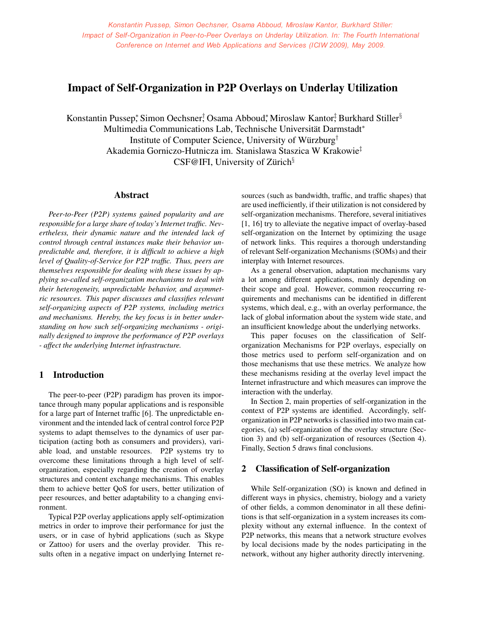*Konstantin Pussep, Simon Oechsner, Osama Abboud, Miroslaw Kantor, Burkhard Stiller: Impact of Self-Organization in Peer-to-Peer Overlays on Underlay Utilization. In: The Fourth International Conference on Internet and Web Applications and Services (ICIW 2009), May 2009.*

# Impact of Self-Organization in P2P Overlays on Underlay Utilization

Konstantin Pussep,ٌ Simon Oechsner,! Osama Abboud,ٌ Miroslaw Kantor.‡ Burkhard Stiller§ Multimedia Communications Lab, Technische Universität Darmstadt\* Institute of Computer Science, University of Würzburg<sup>†</sup> Akademia Gorniczo-Hutnicza im. Stanislawa Staszica W Krakowie‡ CSF@IFI, University of Zürich<sup>§</sup>

# Abstract

*Peer-to-Peer (P2P) systems gained popularity and are responsible for a large share of today's Internet traffic. Nevertheless, their dynamic nature and the intended lack of control through central instances make their behavior unpredictable and, therefore, it is difficult to achieve a high level of Quality-of-Service for P2P traffic. Thus, peers are themselves responsible for dealing with these issues by applying so-called self-organization mechanisms to deal with their heterogeneity, unpredictable behavior, and asymmetric resources. This paper discusses and classifies relevant self-organizing aspects of P2P systems, including metrics and mechanisms. Hereby, the key focus is in better understanding on how such self-organizing mechanisms - originally designed to improve the performance of P2P overlays - affect the underlying Internet infrastructure.*

# 1 Introduction

The peer-to-peer (P2P) paradigm has proven its importance through many popular applications and is responsible for a large part of Internet traffic [6]. The unpredictable environment and the intended lack of central control force P2P systems to adapt themselves to the dynamics of user participation (acting both as consumers and providers), variable load, and unstable resources. P2P systems try to overcome these limitations through a high level of selforganization, especially regarding the creation of overlay structures and content exchange mechanisms. This enables them to achieve better QoS for users, better utilization of peer resources, and better adaptability to a changing environment.

Typical P2P overlay applications apply self-optimization metrics in order to improve their performance for just the users, or in case of hybrid applications (such as Skype or Zattoo) for users and the overlay provider. This results often in a negative impact on underlying Internet resources (such as bandwidth, traffic, and traffic shapes) that are used inefficiently, if their utilization is not considered by self-organization mechanisms. Therefore, several initiatives [1, 16] try to alleviate the negative impact of overlay-based self-organization on the Internet by optimizing the usage of network links. This requires a thorough understanding of relevant Self-organization Mechanisms (SOMs) and their interplay with Internet resources.

As a general observation, adaptation mechanisms vary a lot among different applications, mainly depending on their scope and goal. However, common reoccurring requirements and mechanisms can be identified in different systems, which deal, e.g., with an overlay performance, the lack of global information about the system wide state, and an insufficient knowledge about the underlying networks.

This paper focuses on the classification of Selforganization Mechanisms for P2P overlays, especially on those metrics used to perform self-organization and on those mechanisms that use these metrics. We analyze how these mechanisms residing at the overlay level impact the Internet infrastructure and which measures can improve the interaction with the underlay.

In Section 2, main properties of self-organization in the context of P2P systems are identified. Accordingly, selforganization in P2P networks is classified into two main categories, (a) self-organization of the overlay structure (Section 3) and (b) self-organization of resources (Section 4). Finally, Section 5 draws final conclusions.

## 2 Classification of Self-organization

While Self-organization (SO) is known and defined in different ways in physics, chemistry, biology and a variety of other fields, a common denominator in all these definitions is that self-organization in a system increases its complexity without any external influence. In the context of P2P networks, this means that a network structure evolves by local decisions made by the nodes participating in the network, without any higher authority directly intervening.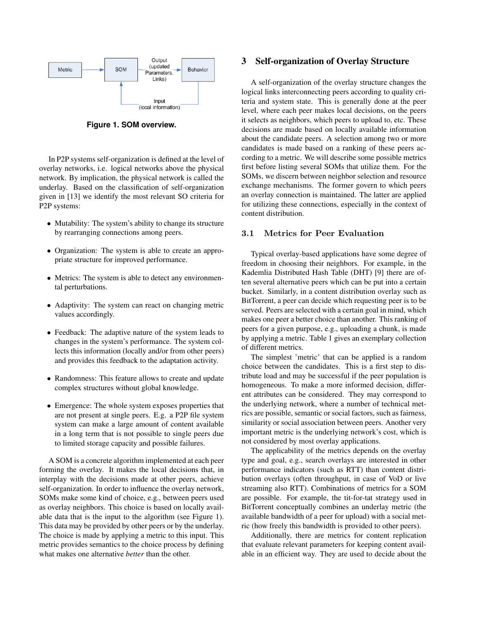

**Figure 1. SOM overview.**

In P2P systems self-organization is defined at the level of overlay networks, i.e. logical networks above the physical network. By implication, the physical network is called the underlay. Based on the classification of self-organization given in [13] we identify the most relevant SO criteria for P2P systems:

- Mutability: The system's ability to change its structure by rearranging connections among peers.
- Organization: The system is able to create an appropriate structure for improved performance.
- Metrics: The system is able to detect any environmental perturbations.
- Adaptivity: The system can react on changing metric values accordingly.
- Feedback: The adaptive nature of the system leads to changes in the system's performance. The system collects this information (locally and/or from other peers) and provides this feedback to the adaptation activity.
- Randomness: This feature allows to create and update complex structures without global knowledge.
- Emergence: The whole system exposes properties that are not present at single peers. E.g. a P2P file system system can make a large amount of content available in a long term that is not possible to single peers due to limited storage capacity and possible failures.

A SOM is a concrete algorithm implemented at each peer forming the overlay. It makes the local decisions that, in interplay with the decisions made at other peers, achieve self-organization. In order to influence the overlay network, SOMs make some kind of choice, e.g., between peers used as overlay neighbors. This choice is based on locally available data that is the input to the algorithm (see Figure 1). This data may be provided by other peers or by the underlay. The choice is made by applying a metric to this input. This metric provides semantics to the choice process by defining what makes one alternative *better* than the other.

## 3 Self-organization of Overlay Structure

A self-organization of the overlay structure changes the logical links interconnecting peers according to quality criteria and system state. This is generally done at the peer level, where each peer makes local decisions, on the peers it selects as neighbors, which peers to upload to, etc. These decisions are made based on locally available information about the candidate peers. A selection among two or more candidates is made based on a ranking of these peers according to a metric. We will describe some possible metrics first before listing several SOMs that utilize them. For the SOMs, we discern between neighbor selection and resource exchange mechanisms. The former govern to which peers an overlay connection is maintained. The latter are applied for utilizing these connections, especially in the context of content distribution.

# 3.1 Metrics for Peer Evaluation

Typical overlay-based applications have some degree of freedom in choosing their neighbors. For example, in the Kademlia Distributed Hash Table (DHT) [9] there are often several alternative peers which can be put into a certain bucket. Similarly, in a content distribution overlay such as BitTorrent, a peer can decide which requesting peer is to be served. Peers are selected with a certain goal in mind, which makes one peer a better choice than another. This ranking of peers for a given purpose, e.g., uploading a chunk, is made by applying a metric. Table 1 gives an exemplary collection of different metrics.

The simplest 'metric' that can be applied is a random choice between the candidates. This is a first step to distribute load and may be successful if the peer population is homogeneous. To make a more informed decision, different attributes can be considered. They may correspond to the underlying network, where a number of technical metrics are possible, semantic or social factors, such as fairness, similarity or social association between peers. Another very important metric is the underlying network's cost, which is not considered by most overlay applications.

The applicability of the metrics depends on the overlay type and goal, e.g., search overlays are interested in other performance indicators (such as RTT) than content distribution overlays (often throughput, in case of VoD or live streaming also RTT). Combinations of metrics for a SOM are possible. For example, the tit-for-tat strategy used in BitTorrent conceptually combines an underlay metric (the available bandwidth of a peer for upload) with a social metric (how freely this bandwidth is provided to other peers).

Additionally, there are metrics for content replication that evaluate relevant parameters for keeping content available in an efficient way. They are used to decide about the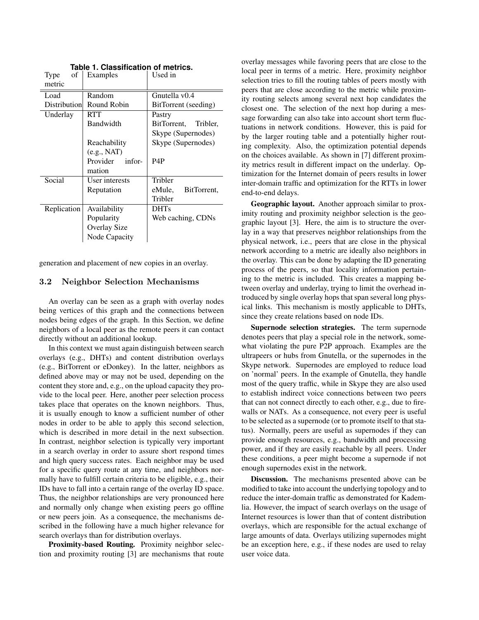| of<br>Type   | Examples           | Used in                 |  |
|--------------|--------------------|-------------------------|--|
| metric       |                    |                         |  |
| Load         | Random             | Gnutella v0.4           |  |
| Distribution | Round Robin        | BitTorrent (seeding)    |  |
| Underlay     | <b>RTT</b>         | Pastry                  |  |
|              | Bandwidth          | BitTorrent,<br>Tribler. |  |
|              |                    | Skype (Supernodes)      |  |
|              | Reachability       | Skype (Supernodes)      |  |
|              | (e.g., NAT)        |                         |  |
|              | Provider<br>infor- | P <sub>4</sub> P        |  |
|              | mation             |                         |  |
| Social       | User interests     | Tribler                 |  |
|              | Reputation         | eMule,<br>BitTorrent,   |  |
|              |                    | Tribler                 |  |
| Replication  | Availability       | <b>DHTs</b>             |  |
|              | Popularity         | Web caching, CDNs       |  |
|              | Overlay Size       |                         |  |
|              | Node Capacity      |                         |  |

**Table 1. Classification of metrics.**

generation and placement of new copies in an overlay.

#### 3.2 Neighbor Selection Mechanisms

An overlay can be seen as a graph with overlay nodes being vertices of this graph and the connections between nodes being edges of the graph. In this Section, we define neighbors of a local peer as the remote peers it can contact directly without an additional lookup.

In this context we must again distinguish between search overlays (e.g., DHTs) and content distribution overlays (e.g., BitTorrent or eDonkey). In the latter, neighbors as defined above may or may not be used, depending on the content they store and, e.g., on the upload capacity they provide to the local peer. Here, another peer selection process takes place that operates on the known neighbors. Thus, it is usually enough to know a sufficient number of other nodes in order to be able to apply this second selection, which is described in more detail in the next subsection. In contrast, neighbor selection is typically very important in a search overlay in order to assure short respond times and high query success rates. Each neighbor may be used for a specific query route at any time, and neighbors normally have to fulfill certain criteria to be eligible, e.g., their IDs have to fall into a certain range of the overlay ID space. Thus, the neighbor relationships are very pronounced here and normally only change when existing peers go offline or new peers join. As a consequence, the mechanisms described in the following have a much higher relevance for search overlays than for distribution overlays.

Proximity-based Routing. Proximity neighbor selection and proximity routing [3] are mechanisms that route overlay messages while favoring peers that are close to the local peer in terms of a metric. Here, proximity neighbor selection tries to fill the routing tables of peers mostly with peers that are close according to the metric while proximity routing selects among several next hop candidates the closest one. The selection of the next hop during a message forwarding can also take into account short term fluctuations in network conditions. However, this is paid for by the larger routing table and a potentially higher routing complexity. Also, the optimization potential depends on the choices available. As shown in [7] different proximity metrics result in different impact on the underlay. Optimization for the Internet domain of peers results in lower inter-domain traffic and optimization for the RTTs in lower end-to-end delays.

Geographic layout. Another approach similar to proximity routing and proximity neighbor selection is the geographic layout [3]. Here, the aim is to structure the overlay in a way that preserves neighbor relationships from the physical network, i.e., peers that are close in the physical network according to a metric are ideally also neighbors in the overlay. This can be done by adapting the ID generating process of the peers, so that locality information pertaining to the metric is included. This creates a mapping between overlay and underlay, trying to limit the overhead introduced by single overlay hops that span several long physical links. This mechanism is mostly applicable to DHTs, since they create relations based on node IDs.

Supernode selection strategies. The term supernode denotes peers that play a special role in the network, somewhat violating the pure P2P approach. Examples are the ultrapeers or hubs from Gnutella, or the supernodes in the Skype network. Supernodes are employed to reduce load on 'normal' peers. In the example of Gnutella, they handle most of the query traffic, while in Skype they are also used to establish indirect voice connections between two peers that can not connect directly to each other, e.g., due to firewalls or NATs. As a consequence, not every peer is useful to be selected as a supernode (or to promote itself to that status). Normally, peers are useful as supernodes if they can provide enough resources, e.g., bandwidth and processing power, and if they are easily reachable by all peers. Under these conditions, a peer might become a supernode if not enough supernodes exist in the network.

Discussion. The mechanisms presented above can be modified to take into account the underlying topology and to reduce the inter-domain traffic as demonstrated for Kademlia. However, the impact of search overlays on the usage of Internet resources is lower than that of content distribution overlays, which are responsible for the actual exchange of large amounts of data. Overlays utilizing supernodes might be an exception here, e.g., if these nodes are used to relay user voice data.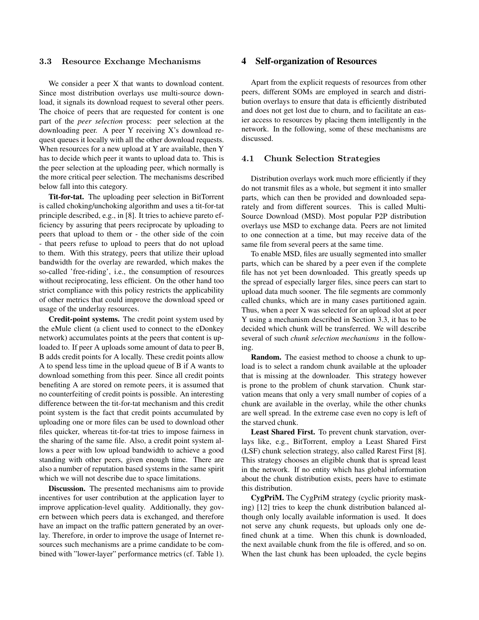## 3.3 Resource Exchange Mechanisms

We consider a peer X that wants to download content. Since most distribution overlays use multi-source download, it signals its download request to several other peers. The choice of peers that are requested for content is one part of the *peer selection* process: peer selection at the downloading peer. A peer Y receiving X's download request queues it locally with all the other download requests. When resources for a new upload at Y are available, then Y has to decide which peer it wants to upload data to. This is the peer selection at the uploading peer, which normally is the more critical peer selection. The mechanisms described below fall into this category.

Tit-for-tat. The uploading peer selection in BitTorrent is called choking/unchoking algorithm and uses a tit-for-tat principle described, e.g., in [8]. It tries to achieve pareto efficiency by assuring that peers reciprocate by uploading to peers that upload to them or - the other side of the coin - that peers refuse to upload to peers that do not upload to them. With this strategy, peers that utilize their upload bandwidth for the overlay are rewarded, which makes the so-called 'free-riding', i.e., the consumption of resources without reciprocating, less efficient. On the other hand too strict compliance with this policy restricts the applicability of other metrics that could improve the download speed or usage of the underlay resources.

Credit-point systems. The credit point system used by the eMule client (a client used to connect to the eDonkey network) accumulates points at the peers that content is uploaded to. If peer A uploads some amount of data to peer B, B adds credit points for A locally. These credit points allow A to spend less time in the upload queue of B if A wants to download something from this peer. Since all credit points benefiting A are stored on remote peers, it is assumed that no counterfeiting of credit points is possible. An interesting difference between the tit-for-tat mechanism and this credit point system is the fact that credit points accumulated by uploading one or more files can be used to download other files quicker, whereas tit-for-tat tries to impose fairness in the sharing of the same file. Also, a credit point system allows a peer with low upload bandwidth to achieve a good standing with other peers, given enough time. There are also a number of reputation based systems in the same spirit which we will not describe due to space limitations.

Discussion. The presented mechanisms aim to provide incentives for user contribution at the application layer to improve application-level quality. Additionally, they govern between which peers data is exchanged, and therefore have an impact on the traffic pattern generated by an overlay. Therefore, in order to improve the usage of Internet resources such mechanisms are a prime candidate to be combined with "lower-layer" performance metrics (cf. Table 1).

## 4 Self-organization of Resources

Apart from the explicit requests of resources from other peers, different SOMs are employed in search and distribution overlays to ensure that data is efficiently distributed and does not get lost due to churn, and to facilitate an easier access to resources by placing them intelligently in the network. In the following, some of these mechanisms are discussed.

#### 4.1 Chunk Selection Strategies

Distribution overlays work much more efficiently if they do not transmit files as a whole, but segment it into smaller parts, which can then be provided and downloaded separately and from different sources. This is called Multi-Source Download (MSD). Most popular P2P distribution overlays use MSD to exchange data. Peers are not limited to one connection at a time, but may receive data of the same file from several peers at the same time.

To enable MSD, files are usually segmented into smaller parts, which can be shared by a peer even if the complete file has not yet been downloaded. This greatly speeds up the spread of especially larger files, since peers can start to upload data much sooner. The file segments are commonly called chunks, which are in many cases partitioned again. Thus, when a peer X was selected for an upload slot at peer Y using a mechanism described in Section 3.3, it has to be decided which chunk will be transferred. We will describe several of such *chunk selection mechanisms* in the following.

Random. The easiest method to choose a chunk to upload is to select a random chunk available at the uploader that is missing at the downloader. This strategy however is prone to the problem of chunk starvation. Chunk starvation means that only a very small number of copies of a chunk are available in the overlay, while the other chunks are well spread. In the extreme case even no copy is left of the starved chunk.

Least Shared First. To prevent chunk starvation, overlays like, e.g., BitTorrent, employ a Least Shared First (LSF) chunk selection strategy, also called Rarest First [8]. This strategy chooses an eligible chunk that is spread least in the network. If no entity which has global information about the chunk distribution exists, peers have to estimate this distribution.

CygPriM. The CygPriM strategy (cyclic priority masking) [12] tries to keep the chunk distribution balanced although only locally available information is used. It does not serve any chunk requests, but uploads only one defined chunk at a time. When this chunk is downloaded, the next available chunk from the file is offered, and so on. When the last chunk has been uploaded, the cycle begins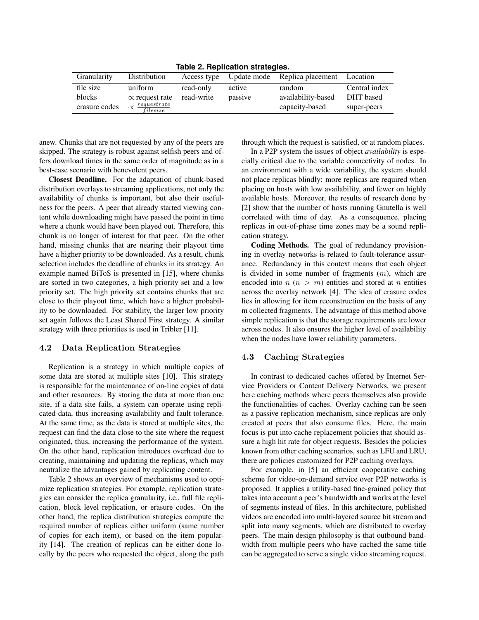**Table 2. Replication strategies.**

| Granularity   | <b>Distribution</b>                    | Access type |         | Update mode Replica placement | Location      |
|---------------|----------------------------------------|-------------|---------|-------------------------------|---------------|
| file size     | uniform                                | read-only   | active  | random                        | Central index |
| blocks        | $\propto$ request rate                 | read-write  | passive | availability-based            | DHT based     |
| erasure codes | $\propto \frac{requestrate}{filesize}$ |             |         | capacity-based                | super-peers   |

anew. Chunks that are not requested by any of the peers are skipped. The strategy is robust against selfish peers and offers download times in the same order of magnitude as in a best-case scenario with benevolent peers.

Closest Deadline. For the adaptation of chunk-based distribution overlays to streaming applications, not only the availability of chunks is important, but also their usefulness for the peers. A peer that already started viewing content while downloading might have passed the point in time where a chunk would have been played out. Therefore, this chunk is no longer of interest for that peer. On the other hand, missing chunks that are nearing their playout time have a higher priority to be downloaded. As a result, chunk selection includes the deadline of chunks in its strategy. An example named BiToS is presented in [15], where chunks are sorted in two categories, a high priority set and a low priority set. The high priority set contains chunks that are close to their playout time, which have a higher probability to be downloaded. For stability, the larger low priority set again follows the Least Shared First strategy. A similar strategy with three priorities is used in Tribler [11].

# 4.2 Data Replication Strategies

Replication is a strategy in which multiple copies of some data are stored at multiple sites [10]. This strategy is responsible for the maintenance of on-line copies of data and other resources. By storing the data at more than one site, if a data site fails, a system can operate using replicated data, thus increasing availability and fault tolerance. At the same time, as the data is stored at multiple sites, the request can find the data close to the site where the request originated, thus, increasing the performance of the system. On the other hand, replication introduces overhead due to creating, maintaining and updating the replicas, which may neutralize the advantages gained by replicating content.

Table 2 shows an overview of mechanisms used to optimize replication strategies. For example, replication strategies can consider the replica granularity, i.e., full file replication, block level replication, or erasure codes. On the other hand, the replica distribution strategies compute the required number of replicas either uniform (same number of copies for each item), or based on the item popularity [14]. The creation of replicas can be either done locally by the peers who requested the object, along the path through which the request is satisfied, or at random places.

In a P2P system the issues of object *availability* is especially critical due to the variable connectivity of nodes. In an environment with a wide variability, the system should not place replicas blindly: more replicas are required when placing on hosts with low availability, and fewer on highly available hosts. Moreover, the results of research done by [2] show that the number of hosts running Gnutella is well correlated with time of day. As a consequence, placing replicas in out-of-phase time zones may be a sound replication strategy.

Coding Methods. The goal of redundancy provisioning in overlay networks is related to fault-tolerance assurance. Redundancy in this context means that each object is divided in some number of fragments (*m*), which are encoded into  $n (n > m)$  entities and stored at  $n$  entities across the overlay network [4]. The idea of erasure codes lies in allowing for item reconstruction on the basis of any m collected fragments. The advantage of this method above simple replication is that the storage requirements are lower across nodes. It also ensures the higher level of availability when the nodes have lower reliability parameters.

#### 4.3 Caching Strategies

In contrast to dedicated caches offered by Internet Service Providers or Content Delivery Networks, we present here caching methods where peers themselves also provide the functionalities of caches. Overlay caching can be seen as a passive replication mechanism, since replicas are only created at peers that also consume files. Here, the main focus is put into cache replacement policies that should assure a high hit rate for object requests. Besides the policies known from other caching scenarios, such as LFU and LRU, there are policies customized for P2P caching overlays.

For example, in [5] an efficient cooperative caching scheme for video-on-demand service over P2P networks is proposed. It applies a utility-based fine-grained policy that takes into account a peer's bandwidth and works at the level of segments instead of files. In this architecture, published videos are encoded into multi-layered source bit stream and split into many segments, which are distributed to overlay peers. The main design philosophy is that outbound bandwidth from multiple peers who have cached the same title can be aggregated to serve a single video streaming request.